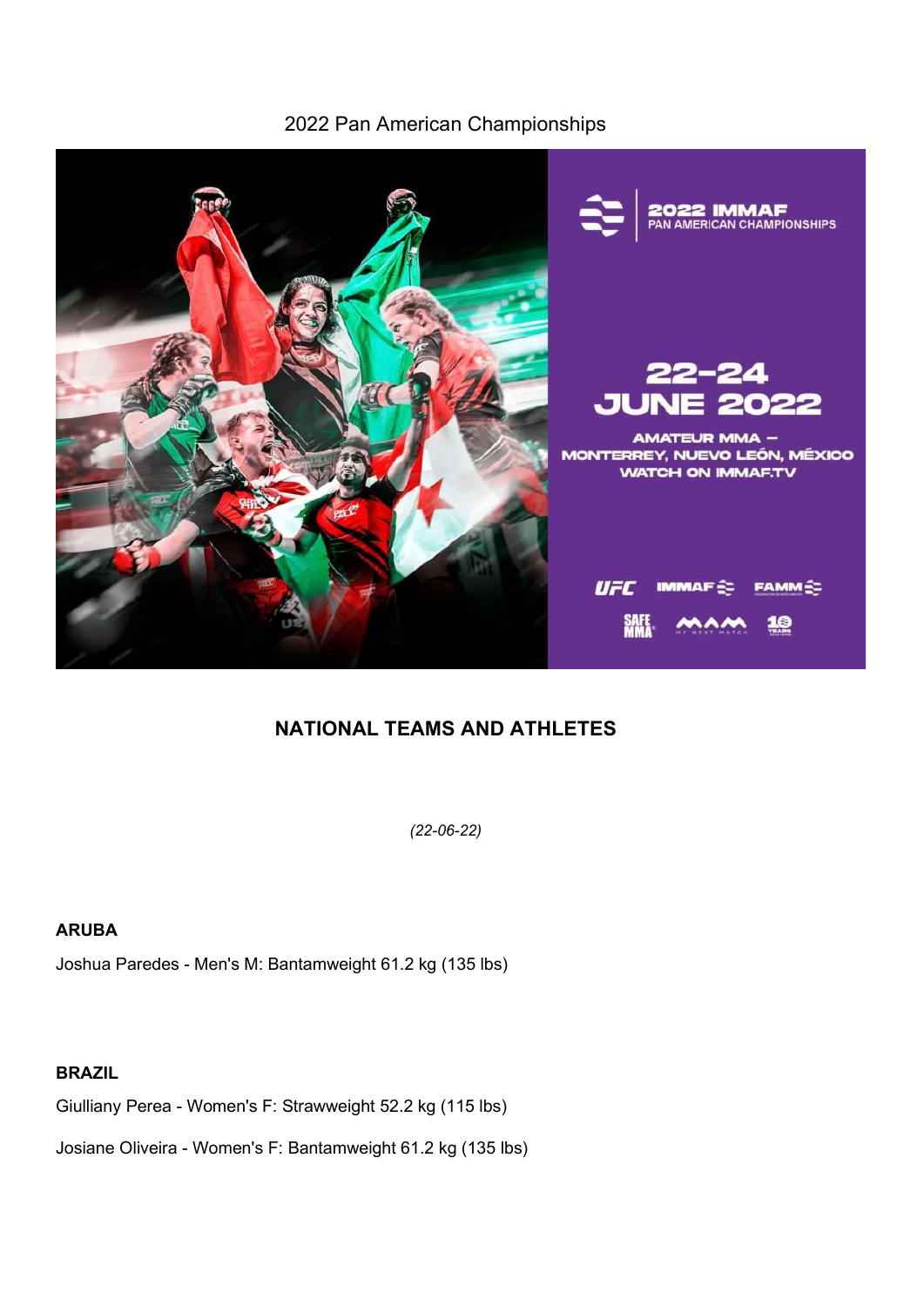# 2022 Pan American Championships



# NATIONAL TEAMS AND ATHLETES

(22-06-22)

ARUBA

Joshua Paredes - Men's M: Bantamweight 61.2 kg (135 lbs)

# BRAZIL

Giulliany Perea - Women's F: Strawweight 52.2 kg (115 lbs)

Josiane Oliveira - Women's F: Bantamweight 61.2 kg (135 lbs)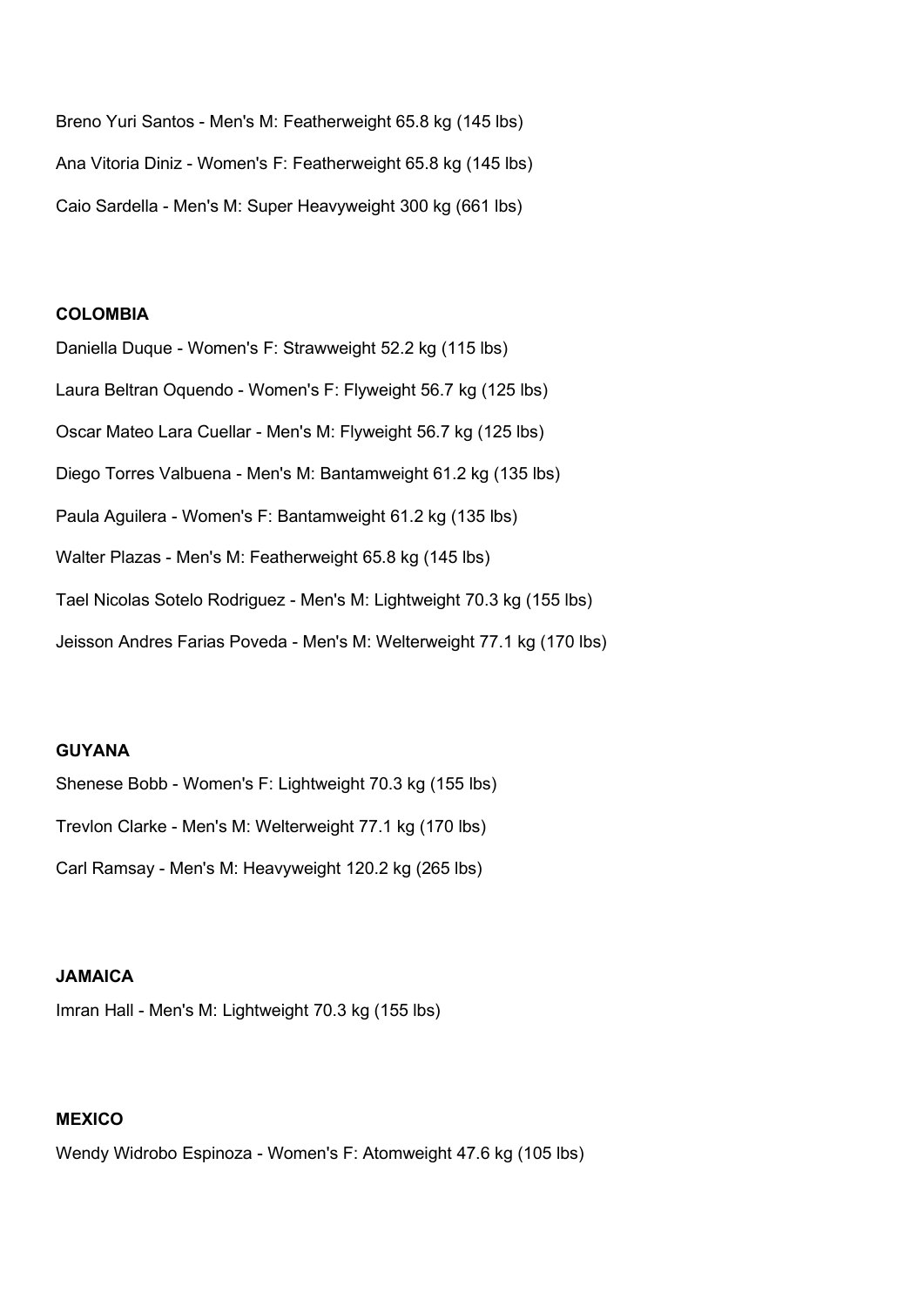Breno Yuri Santos - Men's M: Featherweight 65.8 kg (145 lbs) Ana Vitoria Diniz - Women's F: Featherweight 65.8 kg (145 lbs) Caio Sardella - Men's M: Super Heavyweight 300 kg (661 lbs)

### **COLOMBIA**

Daniella Duque - Women's F: Strawweight 52.2 kg (115 lbs) Laura Beltran Oquendo - Women's F: Flyweight 56.7 kg (125 lbs) Oscar Mateo Lara Cuellar - Men's M: Flyweight 56.7 kg (125 lbs) Diego Torres Valbuena - Men's M: Bantamweight 61.2 kg (135 lbs) Paula Aguilera - Women's F: Bantamweight 61.2 kg (135 lbs) Walter Plazas - Men's M: Featherweight 65.8 kg (145 lbs) Tael Nicolas Sotelo Rodriguez - Men's M: Lightweight 70.3 kg (155 lbs) Jeisson Andres Farias Poveda - Men's M: Welterweight 77.1 kg (170 lbs)

## GUYANA

Shenese Bobb - Women's F: Lightweight 70.3 kg (155 lbs) Trevlon Clarke - Men's M: Welterweight 77.1 kg (170 lbs) Carl Ramsay - Men's M: Heavyweight 120.2 kg (265 lbs)

# JAMAICA

Imran Hall - Men's M: Lightweight 70.3 kg (155 lbs)

# **MEXICO**

Wendy Widrobo Espinoza - Women's F: Atomweight 47.6 kg (105 lbs)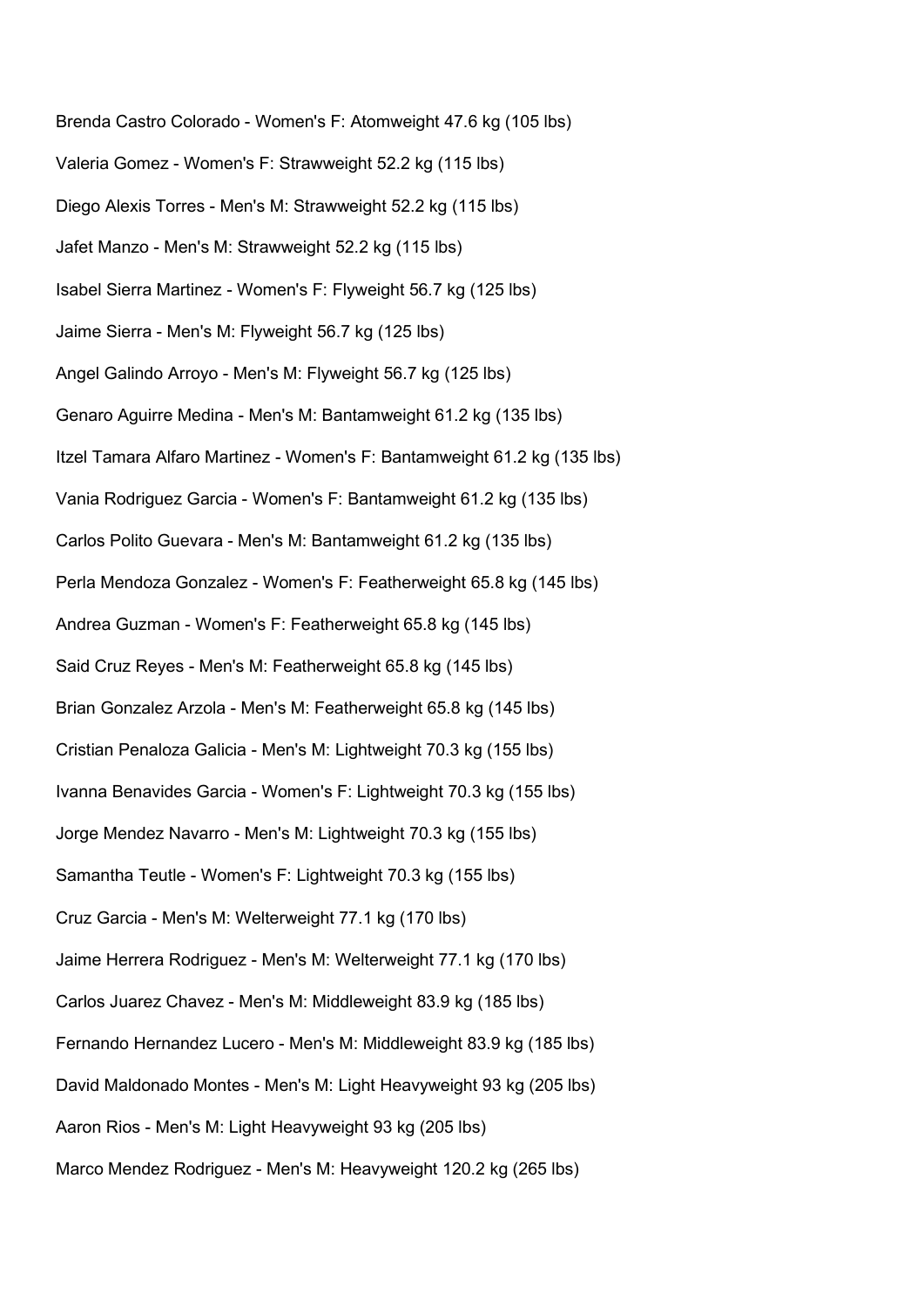Brenda Castro Colorado - Women's F: Atomweight 47.6 kg (105 lbs) Valeria Gomez - Women's F: Strawweight 52.2 kg (115 lbs) Diego Alexis Torres - Men's M: Strawweight 52.2 kg (115 lbs) Jafet Manzo - Men's M: Strawweight 52.2 kg (115 lbs) Isabel Sierra Martinez - Women's F: Flyweight 56.7 kg (125 lbs) Jaime Sierra - Men's M: Flyweight 56.7 kg (125 lbs) Angel Galindo Arroyo - Men's M: Flyweight 56.7 kg (125 lbs) Genaro Aguirre Medina - Men's M: Bantamweight 61.2 kg (135 lbs) Itzel Tamara Alfaro Martinez - Women's F: Bantamweight 61.2 kg (135 lbs) Vania Rodriguez Garcia - Women's F: Bantamweight 61.2 kg (135 lbs) Carlos Polito Guevara - Men's M: Bantamweight 61.2 kg (135 lbs) Perla Mendoza Gonzalez - Women's F: Featherweight 65.8 kg (145 lbs) Andrea Guzman - Women's F: Featherweight 65.8 kg (145 lbs) Said Cruz Reyes - Men's M: Featherweight 65.8 kg (145 lbs) Brian Gonzalez Arzola - Men's M: Featherweight 65.8 kg (145 lbs) Cristian Penaloza Galicia - Men's M: Lightweight 70.3 kg (155 lbs) Ivanna Benavides Garcia - Women's F: Lightweight 70.3 kg (155 lbs) Jorge Mendez Navarro - Men's M: Lightweight 70.3 kg (155 lbs) Samantha Teutle - Women's F: Lightweight 70.3 kg (155 lbs) Cruz Garcia - Men's M: Welterweight 77.1 kg (170 lbs) Jaime Herrera Rodriguez - Men's M: Welterweight 77.1 kg (170 lbs) Carlos Juarez Chavez - Men's M: Middleweight 83.9 kg (185 lbs) Fernando Hernandez Lucero - Men's M: Middleweight 83.9 kg (185 lbs) David Maldonado Montes - Men's M: Light Heavyweight 93 kg (205 lbs) Aaron Rios - Men's M: Light Heavyweight 93 kg (205 lbs) Marco Mendez Rodriguez - Men's M: Heavyweight 120.2 kg (265 lbs)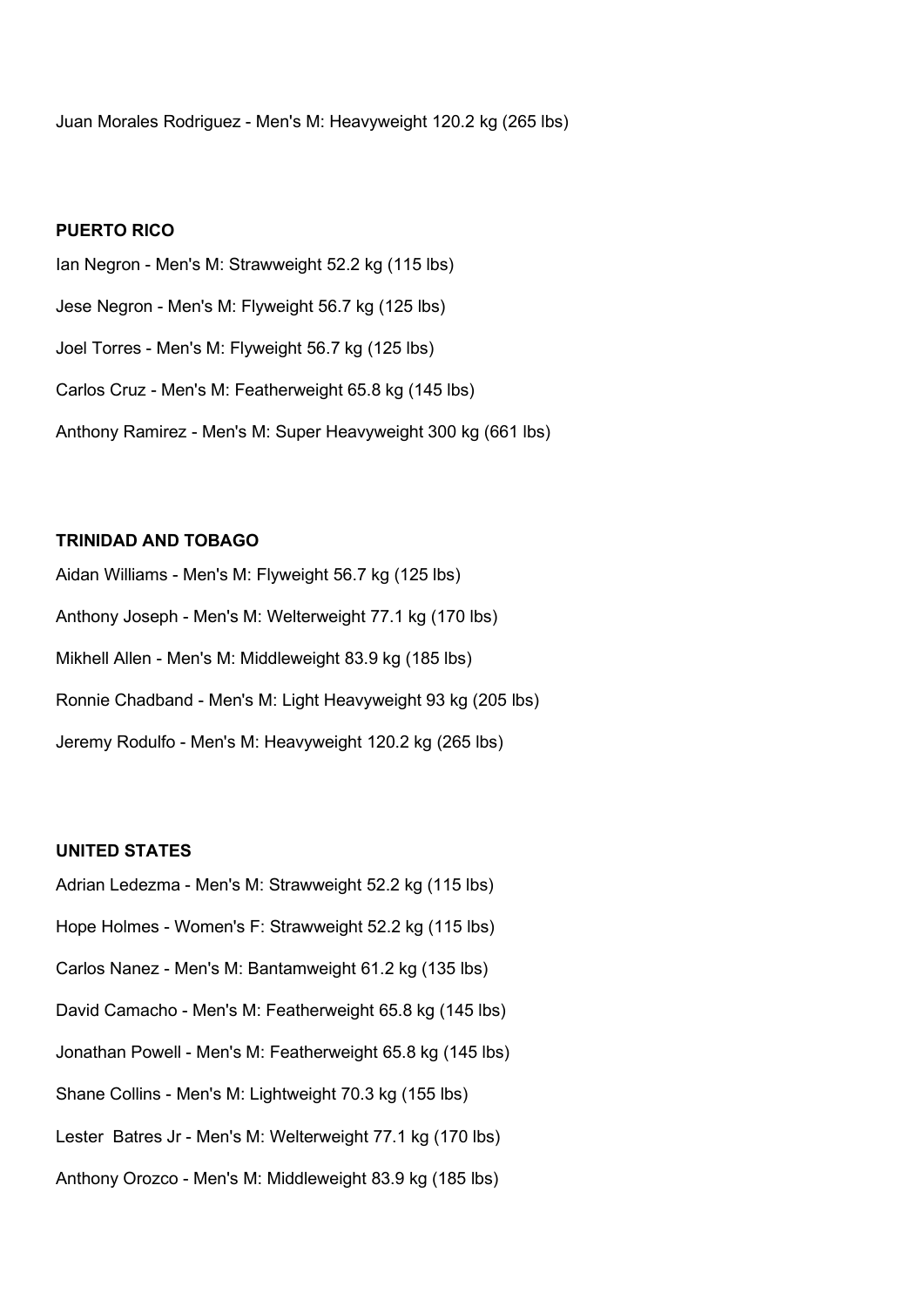Juan Morales Rodriguez - Men's M: Heavyweight 120.2 kg (265 lbs)

## PUERTO RICO

Ian Negron - Men's M: Strawweight 52.2 kg (115 lbs) Jese Negron - Men's M: Flyweight 56.7 kg (125 lbs) Joel Torres - Men's M: Flyweight 56.7 kg (125 lbs) Carlos Cruz - Men's M: Featherweight 65.8 kg (145 lbs) Anthony Ramirez - Men's M: Super Heavyweight 300 kg (661 lbs)

### TRINIDAD AND TOBAGO

Aidan Williams - Men's M: Flyweight 56.7 kg (125 lbs) Anthony Joseph - Men's M: Welterweight 77.1 kg (170 lbs) Mikhell Allen - Men's M: Middleweight 83.9 kg (185 lbs) Ronnie Chadband - Men's M: Light Heavyweight 93 kg (205 lbs) Jeremy Rodulfo - Men's M: Heavyweight 120.2 kg (265 lbs)

### UNITED STATES

- Adrian Ledezma Men's M: Strawweight 52.2 kg (115 lbs)
- Hope Holmes Women's F: Strawweight 52.2 kg (115 lbs)
- Carlos Nanez Men's M: Bantamweight 61.2 kg (135 lbs)
- David Camacho Men's M: Featherweight 65.8 kg (145 lbs)
- Jonathan Powell Men's M: Featherweight 65.8 kg (145 lbs)
- Shane Collins Men's M: Lightweight 70.3 kg (155 lbs)
- Lester Batres Jr Men's M: Welterweight 77.1 kg (170 lbs)
- Anthony Orozco Men's M: Middleweight 83.9 kg (185 lbs)